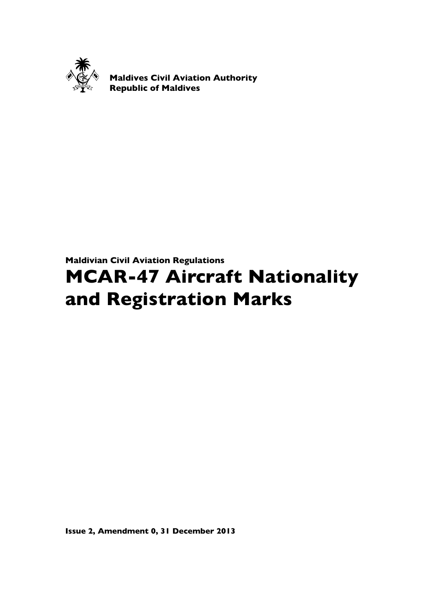

**Maldives Civil Aviation Authority** Republic of Maldives

# Maldivian Civil Aviation Regulations

# MCAR-47 Aircraft Nationality and Registration Marks

Issue 2, Amendment 0, 31 December 2013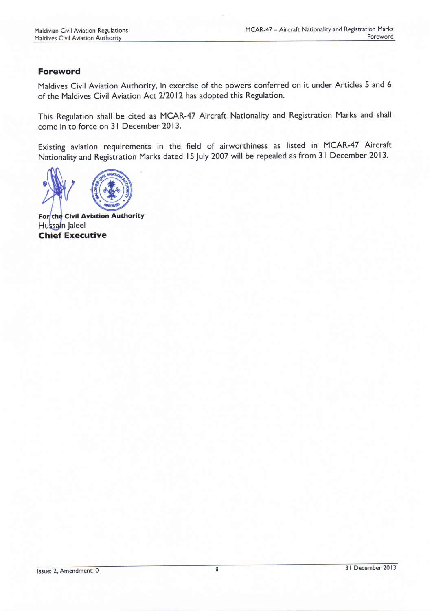#### Foreword

Maldives Civil Aviation Authority, in exercise of the powers conferred on it under Articles 5 and <sup>6</sup> of the Maldives Civil Aviation Act 212012 has adopted this Regulation.

This Regulation shall be cited as MCAR-47 Aircraft Nationality and Registration Marks and shall come in to force on 31 December 2013.

Existing aviation requirements in the field of airworthiness as listed in MCAR-47 Aircraft Nationality and Registration Marks dated 15 July 2007 will be repealed as from 31 December 2013.

0

For the Civil Aviation Authority Hussain Jaleel Chief Executive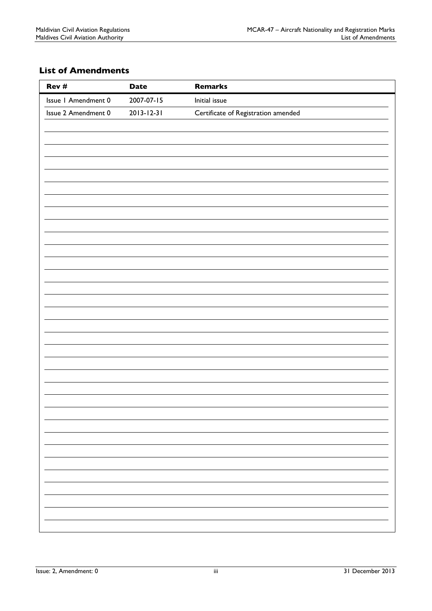### List of Amendments

| Rev #               | <b>Date</b>      | <b>Remarks</b>                      |
|---------------------|------------------|-------------------------------------|
| Issue   Amendment 0 | 2007-07-15       | Initial issue                       |
| Issue 2 Amendment 0 | $2013 - 12 - 31$ | Certificate of Registration amended |
|                     |                  |                                     |
|                     |                  |                                     |
|                     |                  |                                     |
|                     |                  |                                     |
|                     |                  |                                     |
|                     |                  |                                     |
|                     |                  |                                     |
|                     |                  |                                     |
|                     |                  |                                     |
|                     |                  |                                     |
|                     |                  |                                     |
|                     |                  |                                     |
|                     |                  |                                     |
|                     |                  |                                     |
|                     |                  |                                     |
|                     |                  |                                     |
|                     |                  |                                     |
|                     |                  |                                     |
|                     |                  |                                     |
|                     |                  |                                     |
|                     |                  |                                     |
|                     |                  |                                     |
|                     |                  |                                     |
|                     |                  |                                     |
|                     |                  |                                     |
|                     |                  |                                     |
|                     |                  |                                     |
|                     |                  |                                     |
|                     |                  |                                     |
|                     |                  |                                     |
|                     |                  |                                     |
|                     |                  |                                     |
|                     |                  |                                     |
|                     |                  |                                     |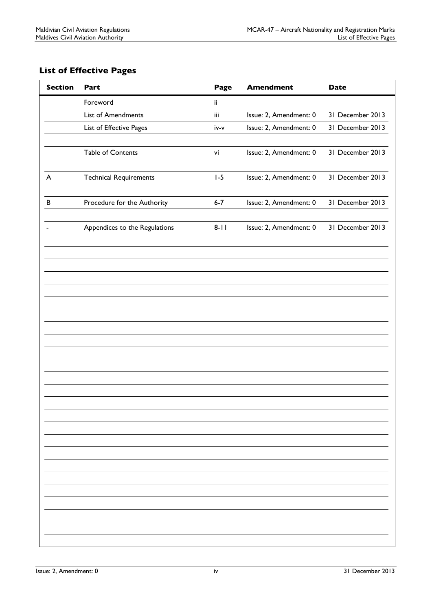# List of Effective Pages

| <b>Section</b> | Part                          | Page    | <b>Amendment</b>       | <b>Date</b>      |
|----------------|-------------------------------|---------|------------------------|------------------|
|                | Foreword                      | ii.     |                        |                  |
|                | List of Amendments            | iii     | Issue: 2, Amendment: 0 | 31 December 2013 |
|                | List of Effective Pages       | iv-v    | Issue: 2, Amendment: 0 | 31 December 2013 |
|                | <b>Table of Contents</b>      | vi      | Issue: 2, Amendment: 0 | 31 December 2013 |
| A              | <b>Technical Requirements</b> | $1-5$   | Issue: 2, Amendment: 0 | 31 December 2013 |
| $\, {\sf B}$   | Procedure for the Authority   | $6 - 7$ | Issue: 2, Amendment: 0 | 31 December 2013 |
|                | Appendices to the Regulations | $8-11$  | Issue: 2, Amendment: 0 | 31 December 2013 |
|                |                               |         |                        |                  |
|                |                               |         |                        |                  |
|                |                               |         |                        |                  |
|                |                               |         |                        |                  |
|                |                               |         |                        |                  |
|                |                               |         |                        |                  |
|                |                               |         |                        |                  |
|                |                               |         |                        |                  |
|                |                               |         |                        |                  |
|                |                               |         |                        |                  |
|                |                               |         |                        |                  |
|                |                               |         |                        |                  |
|                |                               |         |                        |                  |
|                |                               |         |                        |                  |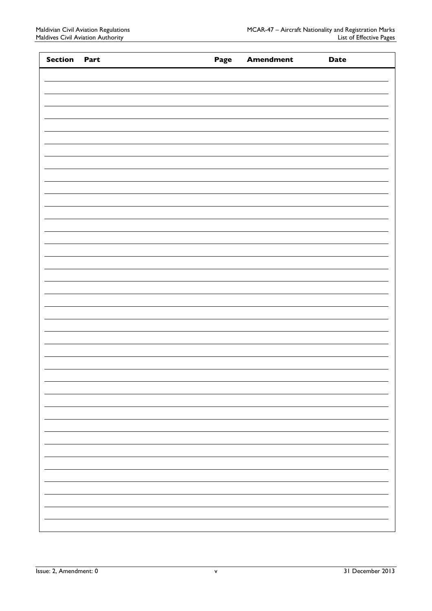| Section Part |  | Page Amendment | <b>Date</b>              |
|--------------|--|----------------|--------------------------|
|              |  |                |                          |
|              |  |                |                          |
|              |  |                |                          |
|              |  |                |                          |
|              |  |                |                          |
|              |  |                |                          |
|              |  |                |                          |
|              |  |                |                          |
|              |  |                |                          |
|              |  |                |                          |
|              |  |                |                          |
|              |  |                |                          |
|              |  |                |                          |
|              |  |                |                          |
|              |  |                |                          |
|              |  |                |                          |
|              |  |                |                          |
|              |  |                |                          |
|              |  |                |                          |
|              |  |                |                          |
|              |  |                |                          |
|              |  |                |                          |
|              |  |                | Ξ.                       |
|              |  |                |                          |
|              |  |                |                          |
|              |  |                |                          |
|              |  |                |                          |
|              |  |                |                          |
|              |  |                |                          |
|              |  |                |                          |
|              |  |                | $\overline{\phantom{0}}$ |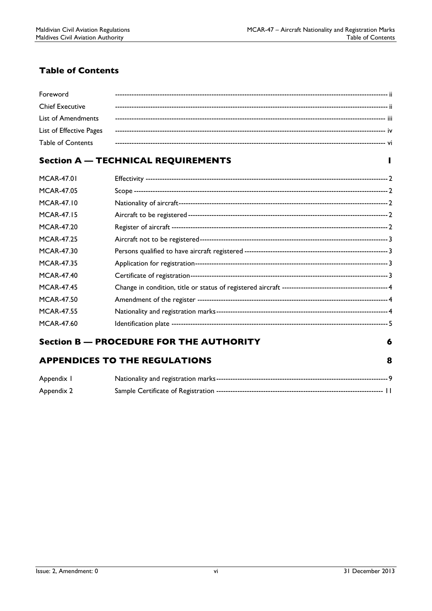## Table of Contents

| Foreword                 |  |
|--------------------------|--|
| <b>Chief Executive</b>   |  |
| List of Amendments       |  |
| List of Effective Pages  |  |
| <b>Table of Contents</b> |  |

## Section A — TECHNICAL REQUIREMENTS 1

| <b>MCAR-47.01</b>                            |  |  |  |
|----------------------------------------------|--|--|--|
| <b>MCAR-47.05</b>                            |  |  |  |
| <b>MCAR-47.10</b>                            |  |  |  |
| <b>MCAR-47.15</b>                            |  |  |  |
| <b>MCAR-47.20</b>                            |  |  |  |
| <b>MCAR-47.25</b>                            |  |  |  |
| <b>MCAR-47.30</b>                            |  |  |  |
| <b>MCAR-47.35</b>                            |  |  |  |
| <b>MCAR-47.40</b>                            |  |  |  |
| <b>MCAR-47.45</b>                            |  |  |  |
| <b>MCAR-47.50</b>                            |  |  |  |
| <b>MCAR-47.55</b>                            |  |  |  |
| <b>MCAR-47.60</b>                            |  |  |  |
| Section B - PROCEDURE FOR THE AUTHORITY<br>6 |  |  |  |

# APPENDICES TO THE REGULATIONS 8

| Appendix I |  |
|------------|--|
| Appendix 2 |  |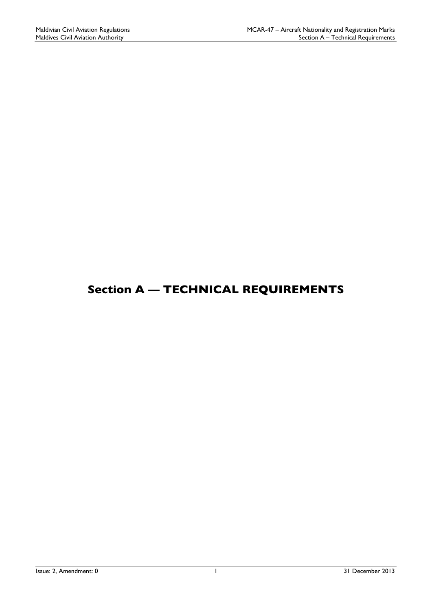# Section A — TECHNICAL REQUIREMENTS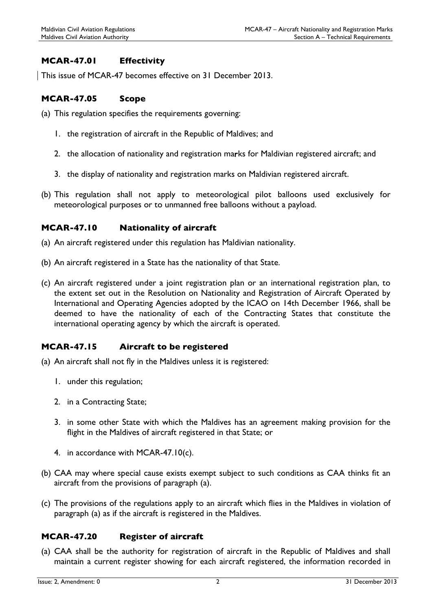#### MCAR-47.01 Effectivity

This issue of MCAR-47 becomes effective on 31 December 2013.

#### MCAR-47.05 Scope

- (a) This regulation specifies the requirements governing:
	- 1. the registration of aircraft in the Republic of Maldives; and
	- 2. the allocation of nationality and registration marks for Maldivian registered aircraft; and
	- 3. the display of nationality and registration marks on Maldivian registered aircraft.
- (b) This regulation shall not apply to meteorological pilot balloons used exclusively for meteorological purposes or to unmanned free balloons without a payload.

#### MCAR-47.10 Nationality of aircraft

- (a) An aircraft registered under this regulation has Maldivian nationality.
- (b) An aircraft registered in a State has the nationality of that State.
- (c) An aircraft registered under a joint registration plan or an international registration plan, to the extent set out in the Resolution on Nationality and Registration of Aircraft Operated by International and Operating Agencies adopted by the ICAO on 14th December 1966, shall be deemed to have the nationality of each of the Contracting States that constitute the international operating agency by which the aircraft is operated.

#### MCAR-47.15 Aircraft to be registered

- (a) An aircraft shall not fly in the Maldives unless it is registered:
	- 1. under this regulation;
	- 2. in a Contracting State;
	- 3. in some other State with which the Maldives has an agreement making provision for the flight in the Maldives of aircraft registered in that State; or
	- 4. in accordance with MCAR-47.10(c).
- (b) CAA may where special cause exists exempt subject to such conditions as CAA thinks fit an aircraft from the provisions of paragraph (a).
- (c) The provisions of the regulations apply to an aircraft which flies in the Maldives in violation of paragraph (a) as if the aircraft is registered in the Maldives.

#### MCAR-47.20 Register of aircraft

(a) CAA shall be the authority for registration of aircraft in the Republic of Maldives and shall maintain a current register showing for each aircraft registered, the information recorded in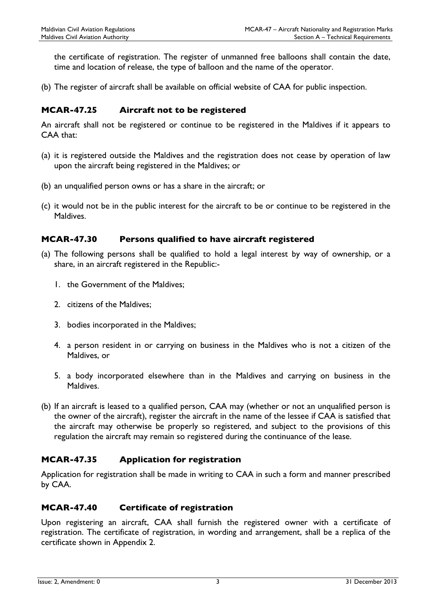the certificate of registration. The register of unmanned free balloons shall contain the date, time and location of release, the type of balloon and the name of the operator.

(b) The register of aircraft shall be available on official website of CAA for public inspection.

#### MCAR-47.25 Aircraft not to be registered

An aircraft shall not be registered or continue to be registered in the Maldives if it appears to CAA that:

- (a) it is registered outside the Maldives and the registration does not cease by operation of law upon the aircraft being registered in the Maldives; or
- (b) an unqualified person owns or has a share in the aircraft; or
- (c) it would not be in the public interest for the aircraft to be or continue to be registered in the Maldives.

#### MCAR-47.30 Persons qualified to have aircraft registered

- (a) The following persons shall be qualified to hold a legal interest by way of ownership, or a share, in an aircraft registered in the Republic:-
	- 1. the Government of the Maldives;
	- 2. citizens of the Maldives;
	- 3. bodies incorporated in the Maldives;
	- 4. a person resident in or carrying on business in the Maldives who is not a citizen of the Maldives, or
	- 5. a body incorporated elsewhere than in the Maldives and carrying on business in the Maldives.
- (b) If an aircraft is leased to a qualified person, CAA may (whether or not an unqualified person is the owner of the aircraft), register the aircraft in the name of the lessee if CAA is satisfied that the aircraft may otherwise be properly so registered, and subject to the provisions of this regulation the aircraft may remain so registered during the continuance of the lease.

#### MCAR-47.35 Application for registration

Application for registration shall be made in writing to CAA in such a form and manner prescribed by CAA.

#### MCAR-47.40 Certificate of registration

Upon registering an aircraft, CAA shall furnish the registered owner with a certificate of registration. The certificate of registration, in wording and arrangement, shall be a replica of the certificate shown in Appendix 2.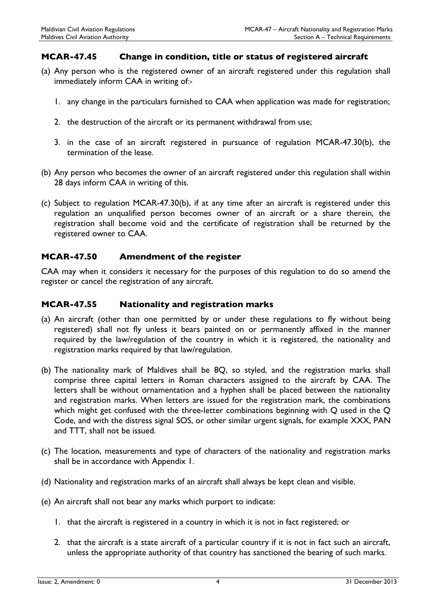#### MCAR-47.45 Change in condition, title or status of registered aircraft

- (a) Any person who is the registered owner of an aircraft registered under this regulation shall immediately inform CAA in writing of:-
	- 1. any change in the particulars furnished to CAA when application was made for registration;
	- 2. the destruction of the aircraft or its permanent withdrawal from use;
	- 3. in the case of an aircraft registered in pursuance of regulation MCAR-47.30(b), the termination of the lease.
- (b) Any person who becomes the owner of an aircraft registered under this regulation shall within 28 days inform CAA in writing of this.
- (c) Subject to regulation MCAR-47.30(b), if at any time after an aircraft is registered under this regulation an unqualified person becomes owner of an aircraft or a share therein, the registration shall become void and the certificate of registration shall be returned by the registered owner to CAA.

#### MCAR-47.50 Amendment of the register

CAA may when it considers it necessary for the purposes of this regulation to do so amend the register or cancel the registration of any aircraft.

#### MCAR-47.55 Nationality and registration marks

- (a) An aircraft (other than one permitted by or under these regulations to fly without being registered) shall not fly unless it bears painted on or permanently affixed in the manner required by the law/regulation of the country in which it is registered, the nationality and registration marks required by that law/regulation.
- (b) The nationality mark of Maldives shall be 8Q, so styled, and the registration marks shall comprise three capital letters in Roman characters assigned to the aircraft by CAA. The letters shall be without ornamentation and a hyphen shall be placed between the nationality and registration marks. When letters are issued for the registration mark, the combinations which might get confused with the three-letter combinations beginning with Q used in the Q Code, and with the distress signal SOS, or other similar urgent signals, for example XXX, PAN and TTT, shall not be issued.
- (c) The location, measurements and type of characters of the nationality and registration marks shall be in accordance with Appendix 1.
- (d) Nationality and registration marks of an aircraft shall always be kept clean and visible.
- (e) An aircraft shall not bear any marks which purport to indicate:
	- 1. that the aircraft is registered in a country in which it is not in fact registered; or
	- 2. that the aircraft is a state aircraft of a particular country if it is not in fact such an aircraft, unless the appropriate authority of that country has sanctioned the bearing of such marks.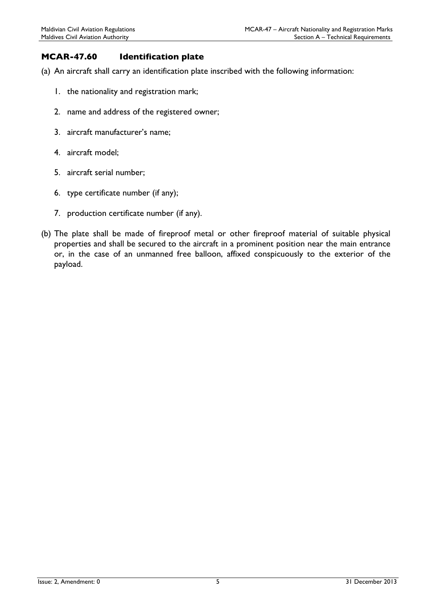#### MCAR-47.60 Identification plate

- (a) An aircraft shall carry an identification plate inscribed with the following information:
	- 1. the nationality and registration mark;
	- 2. name and address of the registered owner;
	- 3. aircraft manufacturer's name;
	- 4. aircraft model;
	- 5. aircraft serial number;
	- 6. type certificate number (if any);
	- 7. production certificate number (if any).
- (b) The plate shall be made of fireproof metal or other fireproof material of suitable physical properties and shall be secured to the aircraft in a prominent position near the main entrance or, in the case of an unmanned free balloon, affixed conspicuously to the exterior of the payload.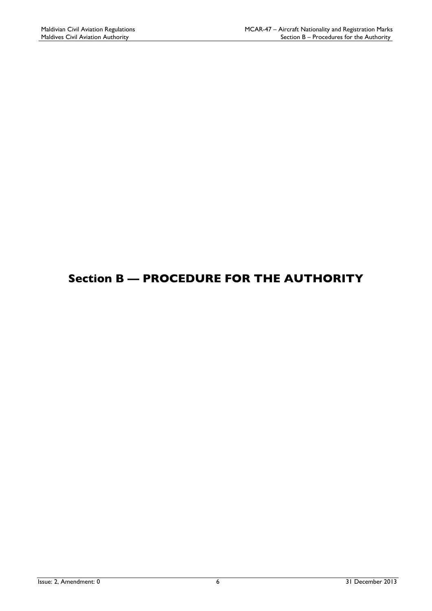# Section B — PROCEDURE FOR THE AUTHORITY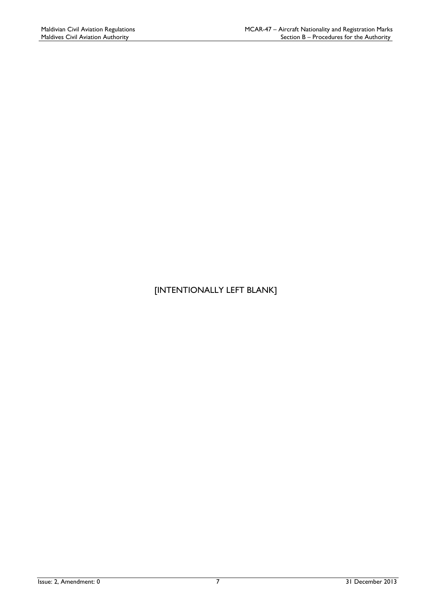# [INTENTIONALLY LEFT BLANK]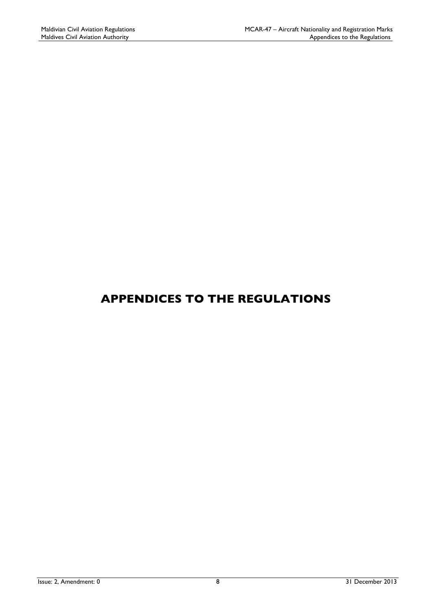# APPENDICES TO THE REGULATIONS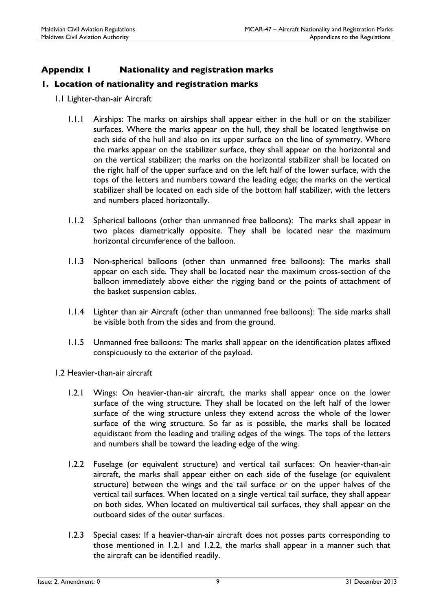# Appendix 1 Nationality and registration marks

#### 1. Location of nationality and registration marks

- 1.1 Lighter-than-air Aircraft
	- 1.1.1 Airships: The marks on airships shall appear either in the hull or on the stabilizer surfaces. Where the marks appear on the hull, they shall be located lengthwise on each side of the hull and also on its upper surface on the line of symmetry. Where the marks appear on the stabilizer surface, they shall appear on the horizontal and on the vertical stabilizer; the marks on the horizontal stabilizer shall be located on the right half of the upper surface and on the left half of the lower surface, with the tops of the letters and numbers toward the leading edge; the marks on the vertical stabilizer shall be located on each side of the bottom half stabilizer, with the letters and numbers placed horizontally.
	- 1.1.2 Spherical balloons (other than unmanned free balloons): The marks shall appear in two places diametrically opposite. They shall be located near the maximum horizontal circumference of the balloon.
	- 1.1.3 Non-spherical balloons (other than unmanned free balloons): The marks shall appear on each side. They shall be located near the maximum cross-section of the balloon immediately above either the rigging band or the points of attachment of the basket suspension cables.
	- 1.1.4 Lighter than air Aircraft (other than unmanned free balloons): The side marks shall be visible both from the sides and from the ground.
	- 1.1.5 Unmanned free balloons: The marks shall appear on the identification plates affixed conspicuously to the exterior of the payload.
- 1.2 Heavier-than-air aircraft
	- 1.2.1 Wings: On heavier-than-air aircraft, the marks shall appear once on the lower surface of the wing structure. They shall be located on the left half of the lower surface of the wing structure unless they extend across the whole of the lower surface of the wing structure. So far as is possible, the marks shall be located equidistant from the leading and trailing edges of the wings. The tops of the letters and numbers shall be toward the leading edge of the wing.
	- 1.2.2 Fuselage (or equivalent structure) and vertical tail surfaces: On heavier-than-air aircraft, the marks shall appear either on each side of the fuselage (or equivalent structure) between the wings and the tail surface or on the upper halves of the vertical tail surfaces. When located on a single vertical tail surface, they shall appear on both sides. When located on multivertical tail surfaces, they shall appear on the outboard sides of the outer surfaces.
	- 1.2.3 Special cases: If a heavier-than-air aircraft does not posses parts corresponding to those mentioned in 1.2.1 and 1.2.2, the marks shall appear in a manner such that the aircraft can be identified readily.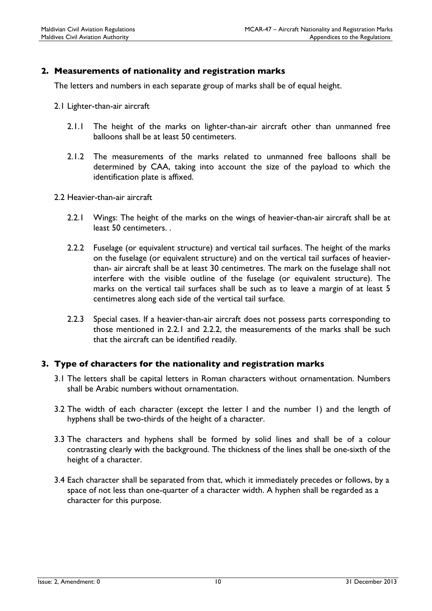#### 2. Measurements of nationality and registration marks

The letters and numbers in each separate group of marks shall be of equal height.

- 2.1 Lighter-than-air aircraft
	- 2.1.1 The height of the marks on lighter-than-air aircraft other than unmanned free balloons shall be at least 50 centimeters.
	- 2.1.2 The measurements of the marks related to unmanned free balloons shall be determined by CAA, taking into account the size of the payload to which the identification plate is affixed.
- 2.2 Heavier-than-air aircraft
	- 2.2.1 Wings: The height of the marks on the wings of heavier-than-air aircraft shall be at least 50 centimeters. .
	- 2.2.2 Fuselage (or equivalent structure) and vertical tail surfaces. The height of the marks on the fuselage (or equivalent structure) and on the vertical tail surfaces of heavierthan- air aircraft shall be at least 30 centimetres. The mark on the fuselage shall not interfere with the visible outline of the fuselage (or equivalent structure). The marks on the vertical tail surfaces shall be such as to leave a margin of at least 5 centimetres along each side of the vertical tail surface.
	- 2.2.3 Special cases. If a heavier-than-air aircraft does not possess parts corresponding to those mentioned in 2.2.1 and 2.2.2, the measurements of the marks shall be such that the aircraft can be identified readily.

#### 3. Type of characters for the nationality and registration marks

- 3.1 The letters shall be capital letters in Roman characters without ornamentation. Numbers shall be Arabic numbers without ornamentation.
- 3.2 The width of each character (except the letter I and the number 1) and the length of hyphens shall be two-thirds of the height of a character.
- 3.3 The characters and hyphens shall be formed by solid lines and shall be of a colour contrasting clearly with the background. The thickness of the lines shall be one-sixth of the height of a character.
- 3.4 Each character shall be separated from that, which it immediately precedes or follows, by a space of not less than one-quarter of a character width. A hyphen shall be regarded as a character for this purpose.